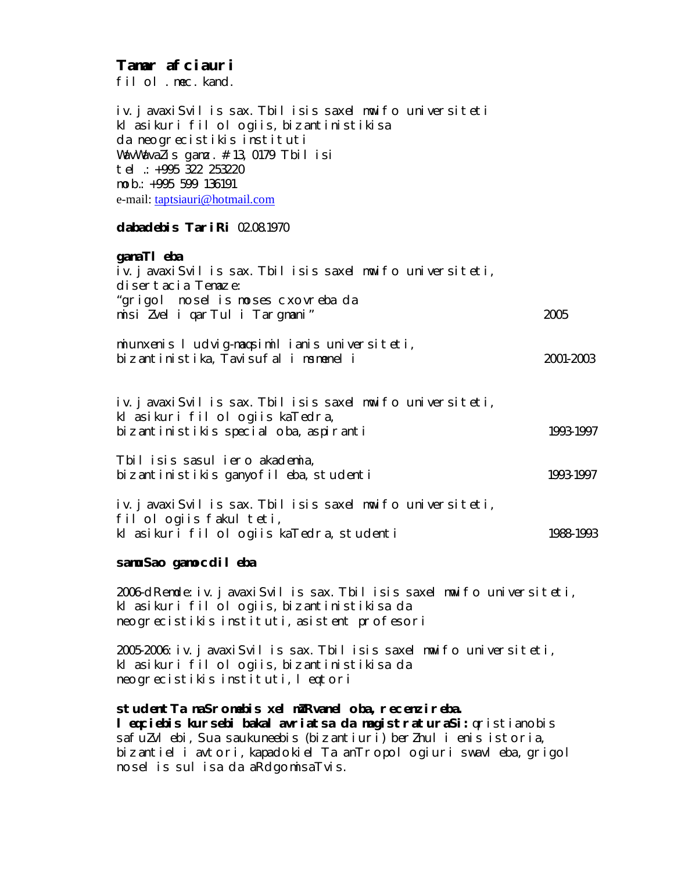# **Tamar afciauri**

filol. mec. kand.

iv. javaxiSvilis sax. Tbilisis saxelmwifo universiteti klasikuri filologiis, bizantinistikisa da neogrecistikis instituti WavWavaZis gamz.  $\#$ 13, 0179 Tbilisi tel.: +995 322 253220 mob.: +995 599 136191 e-mail: taptsiauri@hotmail.com

### **dabadebis TariRi** 02.08.1970

### **ganaTl** eba

| iv. j avaxi Svil is sax. Tbil isis saxel mwifo universiteti, |           |
|--------------------------------------------------------------|-----------|
| disertacia Temaze:                                           |           |
| "grigol nosel is moses cxovreba da                           |           |
| misi Zvel i qarTul i Targmani"                               | 2005      |
| miunxenis I udvig-magsimil ianis universiteti,               |           |
| bizantinistika, Tavisufal i msmenel i                        | 2001-2003 |
|                                                              |           |
| iv. javaxiSvil is sax. Tbil isis saxel mwifo universiteti,   |           |
| kl asikuri fil ol ogiis kaTedra,                             |           |
| bizantinistikis special oba, aspiranti                       | 1993-1997 |

Tbilisis sasuliero akademia, bizantinistikis ganyofileba, studenti 1993-1997

iv. javaxiSvilis sax. Tbilisis saxelmwifo universiteti, fil ol ogiis fakul teti, klasikuri filologiis kaTedra, studenti 1988-1993

### **samuSao gamocdileba**

2006-dRemde: iv. javaxiSvilis sax. Tbilisis saxelmwifo universiteti, klasikuri filologiis, bizantinistikisa da neogrecistikis instituti, asistent profesori

2005-2006: iv. javaxiSvilis sax. Tbilisis saxelmwifo universiteti, klasikuri filologiis, bizantinistikisa da neogrecistikis instituti, leqtori

# studentTa naSromebis xel mZRvanel oba, recenzireba.

**leqciebis kursebi bakalavriatsa da magistraturaSi:** qristianobis safuZvl ebi, Sua saukuneebis (bizantiuri) berZnul i enis istoria, bizantiel i avtori, kapadokiel Ta anTropol ogiuri swavleba, grigol noselis *sulisa da aRdgomisaTvis.*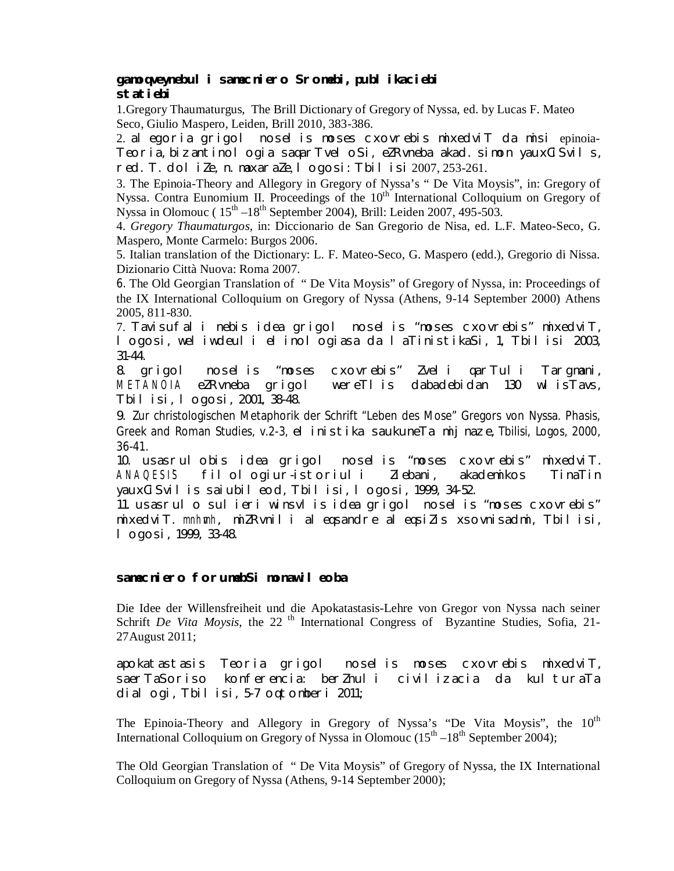### **gamoqveynebuli samecniero Sromebi, publikaciebi statiebi**

1.Gregory Thaumaturgus, The Brill Dictionary of Gregory of Nyssa, ed. by Lucas F. Mateo Seco, Giulio Maspero, Leiden, Brill 2010, 383-386.

2. alegoria grigol noselis *moses cxovrebis* mixedviT da misi epinoia-Teoria, bizantinol ogia sagarTvel oSi, eZRvneba akad. simon yauxCiSvils, red. T. doliZe, n. maxaraZe, logosi: Tbilisi 2007, 253-261.

3. The Epinoia-Theory and Allegory in Gregory of Nyssa's " De Vita Moysis", in: Gregory of Nyssa. Contra Eunomium II. Proceedings of the 10<sup>th</sup> International Colloquium on Gregory of Nyssa in Olomouc ( $15<sup>th</sup> - 18<sup>th</sup>$  September 2004), Brill: Leiden 2007, 495-503.

4. *Gregory Thaumaturgos,* in: Diccionario de San Gregorio de Nisa, ed. L.F. Mateo-Seco, G. Maspero, Monte Carmelo: Burgos 2006.

5. Italian translation of the Dictionary: L. F. Mateo-Seco, G. Maspero (edd.), Gregorio di Nissa. Dizionario Città Nuova: Roma 2007.

6. The Old Georgian Translation of " De Vita Moysis" of Gregory of Nyssa, in: Proceedings of the IX International Colloquium on Gregory of Nyssa (Athens, 9-14 September 2000) Athens 2005, 811-830.

7. Tavisufali nebis idea grigol noselis "moses cxovrebis" mixedviT, logosi, weliwdeuli elinologiasa da laTinistikaSi, 1, Tbilisi 2003, 31-44.

8. grigol noselis "moses cxovrebis" Zveli qarTuli Targmani, METANOIA eZRvneba grigol wereTlis dabadebidan 130 wlisTavs, Tbilisi, logosi, 2001, 38-48.

9. Zur christologischen Metaphorik der Schrift "Leben des Mose" Gregors von Nyssa. Phasis, Greek and Roman Studies, v.2-3, elinistika saukuneTa mijnaze, Tbilisi, Logos, 2000, 36-41.

10. usasrulobis idea grigol noselis "moses cxovrebis" mixedviT. ANAQESI`S filologiur-istoriuli Ziebani, akademikos TinaTin yauxCiSvilis saiubileod, Tbilisi, logosi, 1999, 34-52.

11. usasrulo sulieri winsvlis idea grigol noselis "moses cxovrebis" mixedviT. mnhmh, miZRvnili aleqsandre aleqsiZis xsovnisadmi, Tbilisi, logosi, 1999, 33-48.

### **samecniero forumebSi monawileoba**

Die Idee der Willensfreiheit und die Apokatastasis-Lehre von Gregor von Nyssa nach seiner Schrift *De Vita Moysis*, the 22<sup>th</sup> International Congress of Byzantine Studies, Sofia, 21-27August 2011;

apokatastasis Teoria grigol noselis *moses cxovrebis* mixedviT, saerTaSoriso konferencia: berZnuli civilizacia da kulturaTa dialogi, Tbilisi, 5-7 oqtomberi 2011;

The Epinoia-Theory and Allegory in Gregory of Nyssa's "De Vita Moysis", the  $10<sup>th</sup>$ International Colloquium on Gregory of Nyssa in Olomouc  $(15<sup>th</sup> - 18<sup>th</sup>$  September 2004);

The Old Georgian Translation of " De Vita Moysis" of Gregory of Nyssa, the IX International Colloquium on Gregory of Nyssa (Athens, 9-14 September 2000);